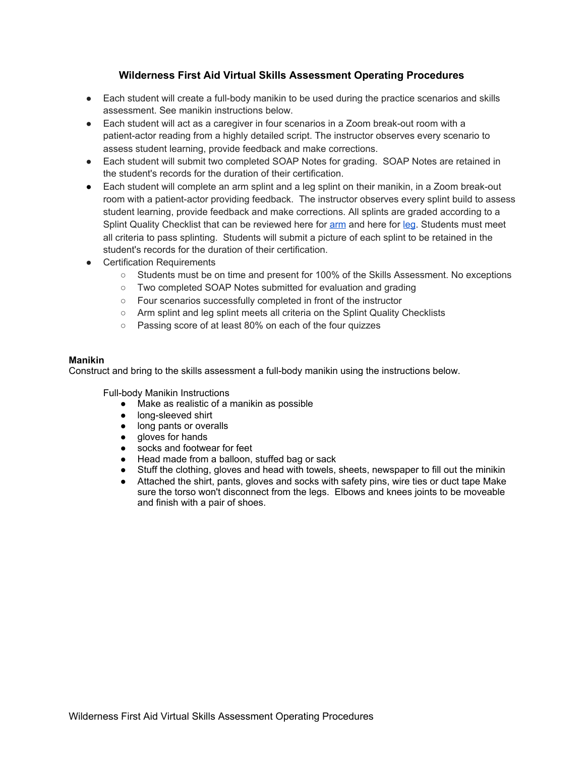## **Wilderness First Aid Virtual Skills Assessment Operating Procedures**

- Each student will create a full-body manikin to be used during the practice scenarios and skills assessment. See manikin instructions below.
- Each student will act as a caregiver in four scenarios in a Zoom break-out room with a patient-actor reading from a highly detailed script. The instructor observes every scenario to assess student learning, provide feedback and make corrections.
- Each student will submit two completed SOAP Notes for grading. SOAP Notes are retained in the student's records for the duration of their certification.
- Each student will complete an arm splint and a leg splint on their manikin, in a Zoom break-out room with a patient-actor providing feedback. The instructor observes every splint build to assess student learning, provide feedback and make corrections. All splints are graded according to a Splint Quality Checklist that can be reviewed here for [arm](https://firstfivefirstaid.com/wp-content/uploads/2020/03/Arm_Splinting_Made_Easy.pdf) and here for [leg](https://firstfivefirstaid.com/wp-content/uploads/2020/03/Leg_Splinting_Made_Easy.pdf). Students must meet all criteria to pass splinting. Students will submit a picture of each splint to be retained in the student's records for the duration of their certification.
- Certification Requirements
	- Students must be on time and present for 100% of the Skills Assessment. No exceptions
	- Two completed SOAP Notes submitted for evaluation and grading
	- Four scenarios successfully completed in front of the instructor
	- Arm splint and leg splint meets all criteria on the Splint Quality Checklists
	- Passing score of at least 80% on each of the four quizzes

## **Manikin**

Construct and bring to the skills assessment a full-body manikin using the instructions below.

Full-body Manikin Instructions

- Make as realistic of a manikin as possible
- long-sleeved shirt
- long pants or overalls
- gloves for hands
- socks and footwear for feet<br>● Head made from a balloon.
- Head made from a balloon, stuffed bag or sack
- Stuff the clothing, gloves and head with towels, sheets, newspaper to fill out the minikin
- Attached the shirt, pants, gloves and socks with safety pins, wire ties or duct tape Make sure the torso won't disconnect from the legs. Elbows and knees joints to be moveable and finish with a pair of shoes.